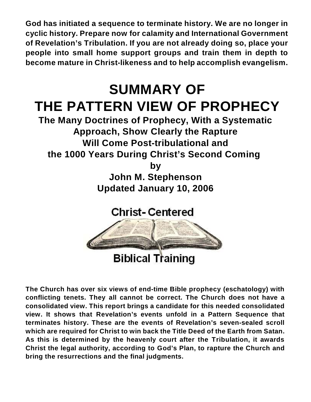**God has initiated a sequence to terminate history. We are no longer in cyclic history. Prepare now for calamity and International Government of Revelation's Tribulation. If you are not already doing so, place your people into small home support groups and train them in depth to become mature in Christ-likeness and to help accomplish evangelism.**

# **SUMMARY OF THE PATTERN VIEW OF PROPHECY**

**The Many Doctrines of Prophecy, With a Systematic Approach, Show Clearly the Rapture Will Come Post-tribulational and the 1000 Years During Christ's Second Coming** 

**by**

**John M. Stephenson Updated January 10, 2006**

**Christ-Centered** 



**The Church has over six views of end-time Bible prophecy (eschatology) with conflicting tenets. They all cannot be correct. The Church does not have a consolidated view. This report brings a candidate for this needed consolidated view. It shows that Revelation's events unfold in a Pattern Sequence that terminates history. These are the events of Revelation's seven-sealed scroll which are required for Christ to win back the Title Deed of the Earth from Satan. As this is determined by the heavenly court after the Tribulation, it awards Christ the legal authority, according to God's Plan, to rapture the Church and bring the resurrections and the final judgments.**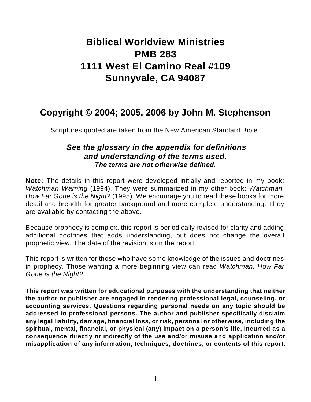# **Biblical Worldview Ministries PMB 283 1111 West El Camino Real #109 Sunnyvale, CA 94087**

## **Copyright © 2004; 2005, 2006 by John M. Stephenson**

Scriptures quoted are taken from the New American Standard Bible.

### *See the glossary in the appendix for definitions and understanding of the terms used. The terms are not otherwise defined.*

**Note:** The details in this report were developed initially and reported in my book: *Watchman Warning* (1994). They were summarized in my other book: *Watchman, How Far Gone is the Night?* (1995). We encourage you to read these books for more detail and breadth for greater background and more complete understanding. They are available by contacting the above.

Because prophecy is complex, this report is periodically revised for clarity and adding additional doctrines that adds understanding, but does not change the overall prophetic view. The date of the revision is on the report.

This report is written for those who have some knowledge of the issues and doctrines in prophecy. Those wanting a more beginning view can read *Watchman, How Far Gone is the Night?*

**This report was written for educational purposes with the understanding that neither the author or publisher are engaged in rendering professional legal, counseling, or accounting services. Questions regarding personal needs on any topic should be addressed to professional persons. The author and publisher specifically disclaim any legal liability, damage, financial loss, or risk, personal or otherwise, including the spiritual, mental, financial, or physical (any) impact on a person's life, incurred as a consequence directly or indirectly of the use and/or misuse and application and/or misapplication of any information, techniques, doctrines, or contents of this report.**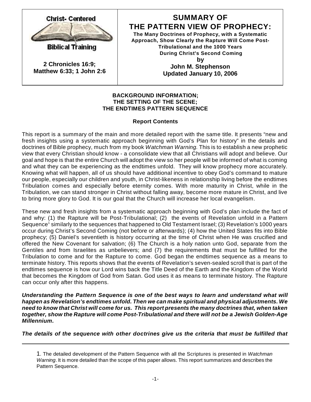

**Biblical Training** 

**2 Chronicles 16:9; Matthew 6:33; 1 John 2:6**

### **SUMMARY OF THE PATTERN VIEW OF PROPHECY:**

**The Many Doctrines of Prophecy, with a Systematic Approach, Show Clearly the Rapture Will Come Post-Tribulational and the 1000 Years During Christ's Second Coming by John M. Stephenson**

**Updated January 10, 2006**

#### **BACKGROUND INFORMATION; THE SETTING OF THE SCENE; THE ENDTIMES PATTERN SEQUENCE**

#### **Report Contents**

This report is a summary of the main and more detailed report with the same title. It presents "new and fresh insights using a systematic approach beginning with God's Plan for history" in the details and doctrines of Bible prophecy, much from my book *Watchman Warning.* This is to establish a new prophetic view that every Christian should know - a consolidate view that all Christians will adopt and believe. Our goal and hope is that the entire Church will adopt the view so her people will be informed of what is coming and what they can be experiencing as the endtimes unfold. They will know prophecy more accurately. Knowing what will happen, all of us should have additional incentive to obey God's command to mature our people, especially our children and youth, in Christ-likeness in relationship living before the endtimes Tribulation comes and especially before eternity comes. With more maturity in Christ, while in the Tribulation, we can stand stronger in Christ without falling away, become more mature in Christ, and live to bring more glory to God. It is our goal that the Church will increase her local evangelism.

These new and fresh insights from a systematic approach beginning with God's plan include the fact of and why: (1) the Rapture will be Post-Tribulational; (2) the events of Revelation unfold in a Pattern Sequence<sup>1</sup> similarly to the sequences that happened to Old Testament Israel; (3) Revelation's 1000 years occur during Christ's Second Coming (not before or afterwards); (4) how the United States fits into Bible prophecy; (5) Daniel's seventieth is history occurring at the time of Christ when He was crucified and offered the New Covenant for salvation; (6) The Church is a holy nation unto God, separate from the Gentiles and from Israelites as unbelievers; and (7) the requirements that must be fulfilled for the Tribulation to come and for the Rapture to come. God began the endtimes sequence as a means to terminate history. This reports shows that the events of Revelation's seven-sealed scroll that is part of the endtimes sequence is how our Lord wins back the Title Deed of the Earth and the Kingdom of the World that becomes the Kingdom of God from Satan. God uses it as means to terminate history. The Rapture can occur only after this happens.

*Understanding the Pattern Sequence is one of the best ways to learn and understand what will happen as Revelation's endtimes unfold. Then we can make spiritual and physical adjustments. We need to know that Christ will come for us. This report presents the many doctrines that, when taken together, show the Rapture will come Post-Tribulational and there will not be a Jewish Golden-Age Millennium.*

*The details of the sequence with other doctrines give us the criteria that must be fulfilled that*

<sup>1</sup>. The detailed development of the Pattern Sequence with all the Scriptures is presented in *Watchman Warning*. It is more detailed than the scope of this paper allows. This report summarizes and describes the Pattern Sequence.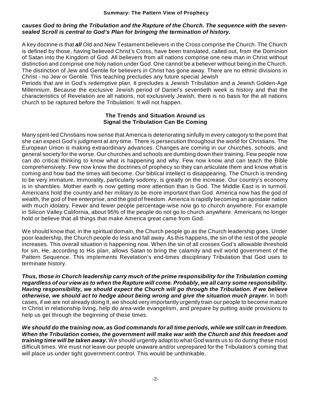#### *causes God to bring the Tribulation and the Rapture of the Church. The sequence with the sevensealed Scroll is central to God's Plan for bringing the termination of history.*

A key doctrine is that *all* Old and New Testament believers in the Cross comprise the Church. The Church is defined by those, having believed Christ's Cross, have been translated, called out, from the Dominion of Satan into the Kingdom of God. All believers from all nations comprise one new man in Christ without distinction and comprise one holy nation under God. One cannot be a believer without being in the Church. The distinction of Jew and Gentile for believers in Christ has gone away. There are no ethnic divisions in Christ - no Jew or Gentile. This teaching precludes any future special Jewish

Periods that are in God's redemptive plan. It precludes a Jewish Tribulation and a Jewish Golden-Age Millennium. Because the exclusive Jewish period of Daniel's seventieth week is history and that the characteristics of Revelation are all nations, not exclusively Jewish, there is no basis for the all nations church to be raptured before the Tribulation. It will not happen.

#### **The Trends and Situation Around us Signal the Tribulation Can Be Coming**

Many spirit-led Christians now sense that America is deteriorating sinfully in every category to the point that she can expect God's judgment at any time. There is persecution throughout the world for Christians. The European Union is making extraordinary advances. Changes are coming in our churches, schools, and general society for the worse. Our churches and schools are dumbing down their training. Few people now can do critical thinking to know what is happening and why. Few now know and can teach the Bible comprehensively. Few now know the doctrines of prophecy so they can articulate them and know what is coming and how bad the times will become. Our biblical intellect is disappearing. The Church is trending to be very immature. Immorality, particularly sodomy, is greatly on the increase. Our country's economy is in shambles. Mother earth is now getting more attention than is God. The Middle East is in turmoil. Americans hold the country and her military to be more important than God. America now has the god of wealth, the god of free enterprise, and the god of freedom. America is rapidly becoming an apostate nation with much idolatry. Fewer and fewer people percentage-wise now go to church anywhere. For example in Silicon Valley California, about 95% of the people do not go to church anywhere. Americans no longer hold or believe that all things that make America great came from God.

We should know that, in the spiritual domain, the Church people go as the Church leadership goes. Under poor leadership, the Church people do less and fall away. As this happens, the sin of the rest of the people increases. This overall situation is happening now. When the sin of all crosses God's allowable threshold for sin, He, according to His plan, allows Satan to bring the calamity and evil world government of the Pattern Sequence. This implements Revelation's end-times disciplinary Tribulation that God uses to terminate history.

*Thus, those in Church leadership carry much of the prime responsibility for the Tribulation coming regardless of our view as to when the Rapture will come. Probably, we all carry some responsibility. Having responsibility, we should expect the Church will go through the Tribulation. If we believe otherwise, we should act to hedge about being wrong and give the situation much prayer.* In both cases, if we are not already doing It, we should very importantly urgently train our people to become mature in Christ in relationship living, help do area-wide evangelism, and prepare by putting aside provisions to help us get through the beginning of these times.

*We should do the training now, as God commands for all time periods, while we still can in freedom. When the Tribulation comes, the government will make war with the Church and this freedom and training time will be taken away.* We should urgently adapt to what God wants us to do during these most difficult times. We must not leave our people unaware and/or unprepared for the Tribulation's coming that will place us under tight government control. This would be unthinkable.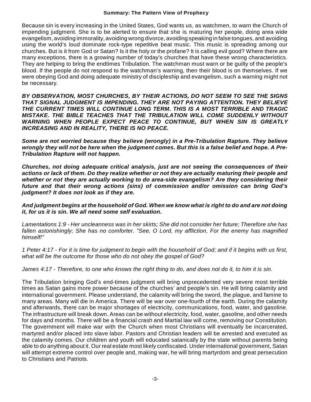Because sin is every increasing in the United States, God wants us, as watchmen, to warn the Church of impending judgment. She is to be alerted to ensure that she is maturing her people, doing area wide evangelism, avoiding immorality, avoiding wrong divorce, avoiding speaking in false tongues, and avoiding using the world's loud dominate rock-type repetitive beat music. This music is spreading among our churches. But is it from God or Satan? Is it the holy or the profane? It is calling evil good? Where there are many exceptions, there is a growing number of today's churches that have these wrong characteristics. They are helping to bring the endtimes Tribulation. The watchman must warn or be guilty of the people's blood. If the people do not respond to the watchman's warning, then their blood is on themselves. If we were obeying God and doing adequate ministry of discipleship and evangelism, such a warning might not be necessary.

*BY OBSERVATION, MOST CHURCHES, BY THEIR ACTIONS, DO NOT SEEM TO SEE THE SIGNS THAT SIGNAL JUDGMENT IS IMPENDING. THEY ARE NOT PAYING ATTENTION. THEY BELIEVE THE CURRENT TIMES WILL CONTINUE LONG TERM. THIS IS A MOST TERRIBLE AND TRAGIC MISTAKE. THE BIBLE TEACHES THAT THE TRIBULATION WILL COME SUDDENLY WITHOUT WARNING WHEN PEOPLE EXPECT PEACE TO CONTINUE, BUT WHEN SIN IS GREATLY INCREASING AND IN REALITY, THERE IS NO PEACE.*

*Some are not worried because they believe (wrongly) in a Pre-Tribulation Rapture. They believe wrongly they will not be here when the judgment comes. But this is a false belief and hope. A Pre-Tribulation Rapture will not happen.*

*Churches, not doing adequate critical analysis, just are not seeing the consequences of their actions or lack of them. Do they realize whether or not they are actually maturing their people and whether or not they are actually working to do area-side evangelism? Are they considering their future and that their wrong actions (sins) of commission and/or omission can bring God's judgment? It does not look as if they are.* 

#### *And judgment begins at the household of God. When we know what is right to do and are not doing it, for us it is sin. We all need some self evaluation.*

*Lamentations 1:9 - Her uncleanness was in her skirts; She did not consider her future; Therefore she has fallen astonishingly; She has no comforter. "See, O Lord, my affliction, For the enemy has magnified himself!"*

*1 Peter 4:17 - For it is time for judgment to begin with the household of God; and if it begins with us first, what will be the outcome for those who do not obey the gospel of God?*

*James 4:17 - Therefore, to one who knows the right thing to do, and does not do it, to him it is sin*.

The Tribulation bringing God's end-times judgment will bring unprecedented very severe most terrible times as Satan gains more power because of the churches' and people's sin. He will bring calamity and international government. Please understand, the calamity will bring the sword, the plague, and famine to many areas. Many will die in America. There will be war over one-fourth of the earth. During the calamity and afterwards, there can be major shortages of electricity, communications, food, water, and gasoline. The infrastructure will break down. Areas can be without electricity, food, water, gasoline, and other needs for days and months. There will be a financial crash and Martial law will come, removing our Constitution. The government will make war with the Church when most Christians will eventually be incarcerated, martyred and/or placed into slave labor. Pastors and Christian leaders will be arrested and executed as the calamity comes. Our children and youth will educated satanically by the state without parents being able to do anything about it. Our real estate most likely confiscated. Under international government, Satan will attempt extreme control over people and, making war, he will bring martyrdom and great persecution to Christians and Patriots.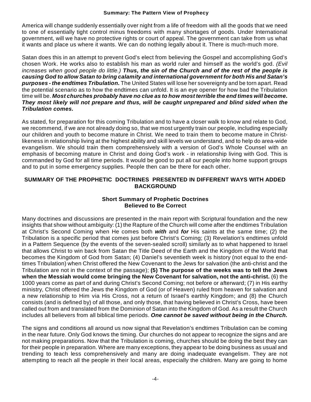America will change suddenly essentially over night from a life of freedom with all the goods that we need to one of essentially tight control minus freedoms with many shortages of goods. Under International government, will we have no protective rights or court of appeal. The government can take from us what it wants and place us where it wants. We can do nothing legally about it. There is much-much more.

Satan does this in an attempt to prevent God's elect from believing the Gospel and accomplishing God's chosen Work. He works also to establish his man as world ruler and himself as the world's god. *(Evil increases when good people do little.) Thus, the sin of the Church and of the rest of the people is causing God to allow Satan to bring calamity and international government for both His and Satan's purposes - the endtimes Tribulation.* The United States will lose her sovereignty and be torn apart. Read the potential scenario as to how the endtimes can unfold. It is an eye opener for how bad the Tribulation time will be. *Most churches probably have no clue as to how most terrible the end times will become. They most likely will not prepare and thus, will be caught unprepared and blind sided when the Tribulation comes.*

As stated, for preparation for this coming Tribulation and to have a closer walk to know and relate to God, we recommend, if we are not already doing so, that we most urgently train our people, including especially our children and youth to become mature in Christ. We need to train them to become mature in Christlikeness in relationship living at the highest ability and skill levels we understand, and to help do area-wide evangelism. We should train them comprehensively with a version of God's Whole Counsel with an emphasis of becoming mature in Christ and doing God's work - in relationship living with God. This is commanded by God for all time periods. It would be good to put all our people into home support groups and to put in some emergency supplies. People then can be there for each other.

#### **SUMMARY OF THE PROPHETIC DOCTRINES PRESENTED IN DIFFERENT WAYS WITH ADDED BACKGROUND**

#### **Short Summary of Prophetic Doctrines Believed to Be Correct**

Many doctrines and discussions are presented in the main report with Scriptural foundation and the new insights that show without ambiguity: (1) the Rapture of the Church will come after the endtimes Tribulation at Christ's Second Coming when He comes both *with* and *for* His saints at the same time; (2) the Tribulation is a specific period that comes just before Christ's Coming; (3) Revelation's endtimes unfold in a Pattern Sequence (by the events of the seven-sealed scroll) similarly as to what happened to Israel that allows Christ to win back from Satan the Title Deed of the Earth and the Kingdom of the World that becomes the Kingdom of God from Satan; (4) Daniel's seventieth week is history (not equal to the endtimes Tribulation) when Christ offered the New Covenant to the Jews for salvation (the anti-christ and the Tribulation are not in the context of the passage); **(5) The purpose of the weeks was to tell the Jews when the Messiah would come bringing the New Covenant for salvation, not the anti-christ.** (6) the 1000 years come as part of and during Christ's Second Coming; not before or afterward; (7) in His earthy ministry, Christ offered the Jews the Kingdom of God (or of Heaven) ruled from heaven for salvation and a new relationship to Him via His Cross, not a return of Israel's earthly Kingdom; and (8) the Church consists (and is defined by) of all those, and only those, that having believed in Christ's Cross, have been called out from and translated from the Dominion of Satan into the Kingdom of God. As a result the Church includes all believers from all biblical time periods. *One cannot be saved without being in the Church.*

The signs and conditions all around us now signal that Revelation's endtimes Tribulation can be coming in the near future. Only God knows the timing. Our churches do not appear to recognize the signs and are not making preparations. Now that the Tribulation is coming, churches should be doing the best they can for their people in preparation. Where are many exceptions, they appear to be doing business as usual and trending to teach less comprehensively and many are doing inadequate evangelism. They are not attempting to reach all the people in their local areas, especially the children. Many are going to home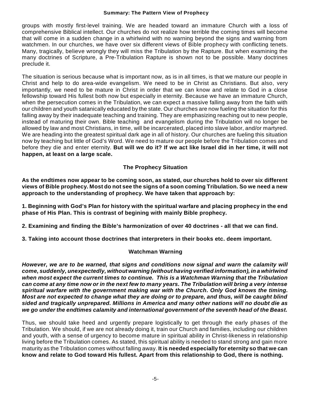groups with mostly first-level training. We are headed toward an immature Church with a loss of comprehensive Biblical intellect. Our churches do not realize how terrible the coming times will become that will come in a sudden change in a whirlwind with no warning beyond the signs and warning from watchmen. In our churches, we have over six different views of Bible prophecy with conflicting tenets. Many, tragically, believe wrongly they will miss the Tribulation by the Rapture. But when examining the many doctrines of Scripture, a Pre-Tribulation Rapture is shown not to be possible. Many doctrines preclude it.

The situation is serious because what is important now, as is in all times, is that we mature our people in Christ and help to do area-wide evangelism. We need to be in Christ as Christians. But also, very importantly, we need to be mature in Christ in order that we can know and relate to God in a close fellowship toward His fullest both now but especially in eternity. Because we have an immature Church, when the persecution comes in the Tribulation, we can expect a massive falling away from the faith with our children and youth satanically educated by the state. Our churches are now fueling the situation for this falling away by their inadequate teaching and training. They are emphasizing reaching out to new people, instead of maturing their own. Bible teaching and evangelism during the Tribulation will no longer be allowed by law and most Christians, in time, will be incarcerated, placed into slave labor, and/or martyred. We are heading into the greatest spiritual dark age in all of history. Our churches are fueling this situation now by teaching but little of God's Word. We need to mature our people before the Tribulation comes and before they die and enter eternity. **But will we do it? If we act like Israel did in her time, it will not happen, at least on a large scale.**

#### **The Prophecy Situation**

**As the endtimes now appear to be coming soon, as stated, our churches hold to over six different views of Bible prophecy. Most do not see the signs of a soon coming Tribulation. So we need a new approach to the understanding of prophecy. We have taken that approach by:**

**1. Beginning with God's Plan for history with the spiritual warfare and placing prophecy in the end phase of His Plan. This is contrast of begining with mainly Bible prophecy.**

**2. Examining and finding the Bible's harmonization of over 40 doctrines - all that we can find.**

**3. Taking into account those doctrines that interpreters in their books etc. deem important.**

#### **Watchman Warning**

*However, we are to be warned, that signs and conditions now signal and warn the calamity will come, suddenly, unexpectedly, without warning (without having verified information), in a whirlwind when most expect the current times to continue. This is a Watchman Warning that the Tribulation can come at any time now or in the next few to many years. The Tribulation will bring a very intense spiritual warfare with the government making war with the Church. Only God knows the timing. Most are not expected to change what they are doing or to prepare, and thus, will be caught blind sided and tragically unprepared. Millions in America and many other nations will no doubt die as we go under the endtimes calamity and international government of the seventh head of the Beast.*

Thus, we should take heed and urgently prepare logistically to get through the early phases of the Tribulation. We should, if we are not already doing it, train our Church and families, including our children and youth, with a sense of urgency to become mature in spiritual ability in Christ-likeness in relationship living before the Tribulation comes. As stated, this spiritual ability is needed to stand strong and gain more maturity as the Tribulation comes without falling away. **It is needed especially for eternity so that we can know and relate to God toward His fullest. Apart from this relationship to God, there is nothing.**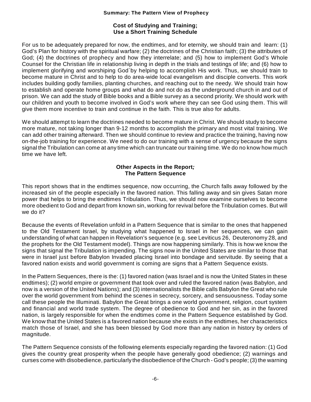#### **Cost of Studying and Training; Use a Short Training Schedule**

For us to be adequately prepared for now, the endtimes, and for eternity, we should train and learn: (1) God's Plan for history with the spiritual warfare; (2) the doctrines of the Christian faith; (3) the attributes of God; (4) the doctrines of prophecy and how they interrelate; and (5) how to implement God's Whole Counsel for the Christian life in relationship living in depth in the trials and testings of life; and (6) how to implement glorifying and worshiping God`by helping to accomplish His work. Thus, we should train to become mature in Christ and to help to do area-wide local evangelism and disciple converts. This work includes building godly families, planting churches, and reaching out to the needy. We should train how to establish and operate home groups and what do and not do as the underground church in and out of prison. We can add the study of Bible books and a Bible survey as a second priority. We should work with our children and youth to become involved in God's work where they can see God using them. This will give them more incentive to train and continue in the faith. This is true also for adults.

We should attempt to learn the doctrines needed to become mature in Christ. We should study to become more mature, not taking longer than 9-12 months to accomplish the primary and most vital training. We can add other training afterward. Then we should continue to review and practice the training, having now on-the-job training for experience. We need to do our training with a sense of urgency because the signs signal the Tribulation can come at any time which can truncate our training time. We do no know how much time we have left.

#### **Other Aspects in the Report***;* **The Pattern Sequence**

This report shows that in the endtimes sequence, now occurring, the Church falls away followed by the increased sin of the people especially in the favored nation. This falling away and sin gives Satan more power that helps to bring the endtimes Tribulation. Thus, we should now examine ourselves to become more obedient to God and depart from known sin, working for revival before the Tribulation comes. But will we do it?

Because the events of Revelation unfold in a Pattern Sequence that is similar to the ones that happened to the Old Testament Israel, by studying what happened to Israel in her sequences, we can gain understanding of what can happen in Revelation's sequence (e.g. see Leviticus 26, Deuteronomy 28, and the prophets for the Old Testament model). Things are now happening similarly. This is how we know the signs that signal the Tribulation is impending. The signs now in the United States are similar to those that were in Israel just before Babylon Invaded placing Israel into bondage and servitude. By seeing that a favored nation exists and world government is coming are signs that a Pattern Sequence exists.

In the Pattern Sequences, there is the: (1) favored nation (was Israel and is now the United States in these endtimes); (2) world empire or government that took over and ruled the favored nation (was Babylon, and now is a version of the United Nations); and (3) internationalists the Bible calls Babylon the Great who rule over the world government from behind the scenes in secrecy, sorcery, and sensuousness. Today some call these people the Illuminati. Babylon the Great brings a one world government, religion, court system and financial and world trade system. The degree of obedience to God and her sin, as in the favored nation, is largely responsible for when the endtimes come in the Pattern Sequence established by God. We know that the United States is a favored nation because she exists in the endtimes, her characteristics match those of Israel, and she has been blessed by God more than any nation in history by orders of magnitude.

The Pattern Sequence consists of the following elements especially regarding the favored nation: (1) God gives the country great prosperity when the people have generally good obedience; (2) warnings and curses come with disobedience, particularly the disobedience of the Church - God's people; (3) the warning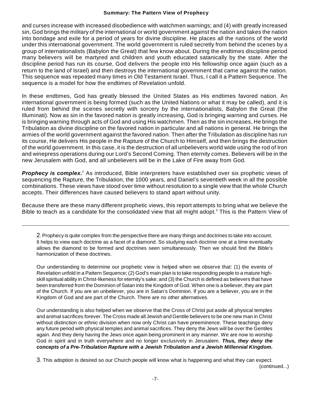and curses increase with increased disobedience with watchmen warnings; and (4) with greatly increased sin, God brings the military of the international or world government against the nation and takes the nation into bondage and exile for a period of years for divine discipline. He places all the nations of the world under this international government. The world government is ruled secretly from behind the scenes by a group of internationalists (Babylon the Great) that few know about. During the endtimes discipline period many believers will be martyred and children and youth educated satanically by the state. After the discipline period has run its course, God delivers the people into His fellowship once again (such as a return to the land of Israel) and then destroys the international government that came against the nation. This sequence was repeated many times in Old Testament Israel. Thus, I call it a Pattern Sequence. The sequence is a model for how the endtimes of Revelation unfold.

In these endtimes, God has greatly blessed the United States as His endtimes favored nation. An international government is being formed (such as the United Nations or what it may be called), and it is ruled from behind the scenes secretly with sorcery by the internationalists, Babylon the Great (the Illuminati). Now as sin in the favored nation is greatly increasing, God is bringing warning and curses. He is bringing warning through acts of God and using His watchmen. Then as the sin increases, He brings the Tribulation as divine discipline on the favored nation in particular and all nations in general. He brings the armies of the world government against the favored nation. Then after the Tribulation as discipline has run its course, He delivers His people in the Rapture of the Church to Himself, and then brings the destruction of the world government. In this case, it is the destruction of all unbelievers world wide using the rod of Iron and winepress operations during our Lord's Second Coming. Then eternity comes. Believers will be in the new Jerusalem with God, and all unbelievers will be in the Lake of Fire away from God.

Prophecy is complex.<sup>2</sup> As introduced, Bible interpreters have established over six prophetic views of sequencing the Rapture, the Tribulation, the 1000 years, and Daniel's seventieth week in all the possible combinations. These views have stood over time without resolution to a single view that the whole Church accepts. Their differences have caused believers to stand apart without unity.

Because there are these many different prophetic views, this report attempts to bring what we believe the Bible to teach as a candidate for the consolidated view that all might adopt.<sup>3</sup> This is the Pattern View of

2. Prophecy is quite complex from the perspective there are many things and doctrines to take into account. It helps to view each doctrine as a facet of a diamond. So studying each doctrine one at a time eventually allows the diamond to be formed and doctrines seen simultaneously. Then we should find the Bible's harmonization of these doctrines.

Our understanding to determine our prophetic view is helped when we observe that: (1) the events of Revelation unfold in a Pattern Sequence; (2) God's main plan is to take responding people to a mature highskill spiritual ability in Christ-likeness for eternity's sake; and (3) the Church is defined as believers that have been transferred from the Dominion of Satan into the Kingdom of God. When one is a believer, they are part of the Church. If you are an unbeliever, you are in Satan's Dominion. If you are a believer, you are in the Kingdom of God and are part of the Church. There are no other alternatives.

Our understanding is also helped when we observe that the Cross of Christ put aside all physical temples and animal sacrifices forever. The Cross made all Jewish and Gentile believers to be one new man in Christ without distinction or ethnic division when now only Christ can have preeminence. These teachings deny any future period with physical temples and animal sacrifices. They deny the Jews will be over the Gentiles again. And they deny having the Jews once again being prominent in any manner. We are now to worship God in spirit and in truth everywhere and no longer exclusively in Jerusalem. *Thus, they deny the concepts of a Pre-Tribulation Rapture with a Jewish Tribulation and a Jewish Millennial Kingdom.*

3. This adoption is desired so our Church people will know what is happening and what they can expect. (continued...)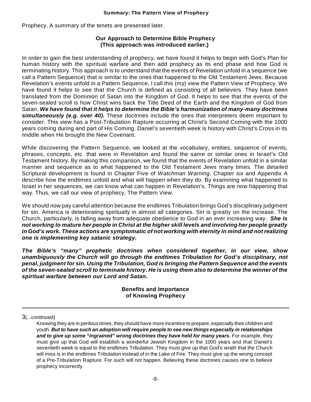Prophecy. A summary of the tenets are presented later.

#### **Our Approach to Determine Bible Prophecy (This approach was introduced earlier.)**

In order to gain the best understanding of prophecy, we have found it helps to begin with God's Plan for human history with the spiritual warfare and then add prophecy as its end phase and how God is terminating history. This approach is to understand that the events of Revelation unfold in a sequence (we call a Pattern Sequence) that is similar to the ones that happened to the Old Testament Jews. Because Revelation's events unfold in a Pattern Sequence, I call this (my) view the Pattern View of Prophecy. We have found it helps to see that the Church is defined as consisting of all believers. They have been translated from the Dominion of Satan into the Kingdom of God. It helps to see that the events of the seven-sealed scroll is how Christ wins back the Title Deed of the Earth and the Kingdom of God from Satan. *We have found that it helps to determine the Bible's harmonization of many-many doctrines simultaneously (e.g. over 40).* These doctrines include the ones that interpreters deem important to consider. This view has a Post-Tribulation Rapture occurring at Christ's Second Coming with the 1000 years coming during and part of His Coming. Daniel's seventieth week is history with Christ's Cross in its middle when He brought the New Covenant.

While discovering the Pattern Sequence, we looked at the vocabulary, entities, sequence of events, phrases, concepts, etc. that were in Revelation and found the same or similar ones in Israel's Old Testament history. By making this comparison, we found that the events of Revelation unfold in a similar manner and sequence as to what happened to the Old Testament Jews many times. The detailed Scriptural development is found in Chapter Five of *Watchman Warning*. Chapter six and Appendix A describe how the endtimes unfold and what will happen when they do. By examining what happened to Israel in her sequences, we can know what can happen in Revelation's. Things are now happening that way. Thus, we call our view of prophecy, The Pattern View.

We should now pay careful attention because the endtimes Tribulation brings God's disciplinary judgment for sin. America is deteriorating spiritually in almost all categories. Sin is greatly on the increase. The Church, particularly, is falling away from adequate obedience to God in an ever increasing way. *She is not working to mature her people in Christ at the higher skill levels and involving her people greatly in God's work. These actions are symptomatic of not working with eternity in mind and not realizing one is implementing key satanic strategy.*

*The Bible's "many" prophetic doctrines when considered together, in our view, show unambiguously the Church will go through the endtimes Tribulation for God's disciplinary, not penal, judgment for sin. Using the Tribulation, God is bringing the Pattern Sequence and the events of the seven-sealed scroll to terminate history. He is using them also to determine the winner of the spiritual warfare between our Lord and Satan.*

> **Benefits and Importance of Knowing Prophecy**

3(...continued)

Knowing they are in perilous times, they should have more incentive to prepare, especially their children and youth. *But to have such an adoption will require people to see new things especially in relationships and to give up some "ingrained" wrong doctrines they have held for many years*. For example, they must give up that God will establish a wonderful Jewish Kingdom in the 1000 years and that Daniel's seventieth week is equal to the endtimes Tribulation. They must give up that God's wrath that the Church will miss is in the endtimes Tribulation instead of in the Lake of Fire. They must give up the wrong concept of a Pre-Tribulation Rapture. For such will not happen. Believing these doctrines causes one to believe prophecy incorrectly.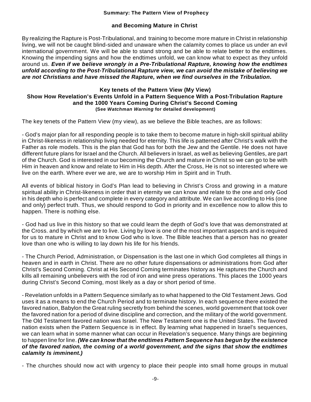#### **and Becoming Mature in Christ**

By realizing the Rapture is Post-Tribulational, and training to become more mature in Christ in relationship living, we will not be caught blind-sided and unaware when the calamity comes to place us under an evil international government. We will be able to stand strong and be able to relate better to the endtimes. Knowing the impending signs and how the endtimes unfold, we can know what to expect as they unfold around us. *Even if we believe wrongly in a Pre-Tribulational Rapture, knowing how the endtimes unfold according to the Post-Tribulational Rapture view, we can avoid the mistake of believing we are not Christians and have missed the Rapture, when we find ourselves in the Tribulation.*

#### **Key tenets of the Pattern View (My View) Show How Revelation's Events Unfold in a Pattern Sequence With a Post-Tribulation Rapture and the 1000 Years Coming During Christ's Second Coming (See** *Watchman Warning* **for detailed development)**

The key tenets of the Pattern View (my view), as we believe the Bible teaches, are as follows:

- God's major plan for all responding people is to take them to become mature in high-skill spiritual ability in Christ-likeness in relationship living needed for eternity. This life is patterned after Christ's walk with the Father as role models. This is the plan that God has for both the Jew and the Gentile. He does not have different future plans for Israel and the Church. All believers in Israel, as well as believing Gentiles, are part of the Church. God is interested in our becoming the Church and mature in Christ so we can go to be with Him in heaven and know and relate to Him in His depth. After the Cross, He is not so interested where we live on the earth. Where ever we are, we are to worship Him in Spirit and in Truth.

All events of biblical history in God's Plan lead to believing in Christ's Cross and growing in a mature spiritual ability in Christ-likeness in order that in eternity we can know and relate to the one and only God in his depth who is perfect and complete in every category and attribute. We can live according to His (one and only) perfect truth. Thus, we should respond to God in priority and in excellence now to allow this to happen. There is nothing else.

- God had us live in this history so that we could learn the depth of God's love that was demonstrated at the Cross. and by which we are to live. Living by love is one of the most important aspects and is required for us to mature in Christ and to know God who is love. The Bible teaches that a person has no greater love than one who is willing to lay down his life for his friends.

- The Church Period, Administration, or Dispensation is the last one in which God completes all things in heaven and in earth in Christ. There are no other future dispensations or administrations from God after Christ's Second Coming. Christ at His Second Coming terminates history as He raptures the Church and kills all remaining unbelievers with the rod of iron and wine press operations. This places the 1000 years during Christ's Second Coming, most likely as a day or short period of time.

- Revelation unfolds in a Pattern Sequence similarly as to what happened to the Old Testament Jews. God uses it as a means to end the Church Period and to terminate history. In each sequence there existed the favored nation, Babylon the Great ruling secretly from behind the scenes, world government that took over the favored nation for a period of divine discipline and correction, and the military of the world government. The Old Testament favored nation was Israel. The New Testament one is the United States. The favored nation exists when the Pattern Sequence is in effect. By learning what happened in Israel's sequences, we can learn what in some manner what can occur in Revelation's sequence. Many things are beginning to happen line for line. *(We can know that the endtimes Pattern Sequence has begun by the existence of the favored nation, the coming of a world government, and the signs that show the endtimes calamity Is imminent.)*

- The churches should now act with urgency to place their people into small home groups in mutual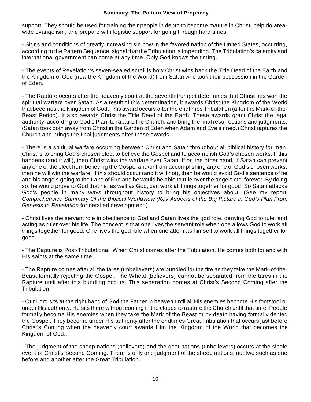support. They should be used for training their people in depth to become mature in Christ, help do areawide evangelism, and prepare with logistic support for going through hard times.

- Signs and conditions of greatly increasing sin now in the favored nation of the United States, occurring, according to the Pattern Sequence, signal that the Tribulation is impending. The Tribulation's calamity and international government can come at any time. Only God knows the timing.

- The events of Revelation's seven-sealed scroll is how Christ wins back the Title Deed of the Earth and the Kingdom of God (now the Kingdom of the World) from Satan who took their possession in the Garden of Eden.

- The Rapture occurs after the heavenly court at the seventh trumpet determines that Christ has won the spiritual warfare over Satan. As a result of this determination, it awards Christ the Kingdom of the World that becomes the Kingdom of God. This award occurs after the endtimes Tribulation (after the Mark-of-the-Beast Period). It also awards Christ the Title Deed of the Earth. These awards grant Christ the legal authority, according to God's Plan, to rapture the Church, and bring the final resurrections and judgments. (Satan took both away from Christ in the Garden of Eden when Adam and Eve sinned.) Christ raptures the Church and brings the final judgments after these awards.

- There is a spiritual warfare occurring between Christ and Satan throughout all biblical history for man. Christ is to bring God's chosen elect to believe the Gospel and to accomplish God's chosen works. If this happens (and it will), then Christ wins the warfare over Satan. If on the other hand, if Satan can prevent any one of the elect from believing the Gospel and/or from accomplishing any one of God's chosen works, then he will win the warfare. If this should occur (and it will not), then he would avoid God's sentence of he and his angels going to the Lake of Fire and he would be able to rule over the angels etc. forever. By doing so, he would prove to God that he, as well as God, can work all things together for good. So Satan attacks God's people in many ways throughout history to bring his objectives about. (See my report: *Comprehensive Summary Of the Biblical Worldview (Key Aspects of the Big Picture in God's Plan From Genesis to Revelation* for detailed development.)

- Christ lives the servant role in obedience to God and Satan lives the god role, denying God to rule, and acting as ruler over his life. The concept is that one lives the servant role when one allows God to work all things together for good. One lives the god role when one attempts himself to work all things together for good.

- The Rapture is Post-Tribulational. When Christ comes after the Tribulation, He comes both for and with His saints at the same time.

- The Rapture comes after all the tares (unbelievers) are bundled for the fire as they take the Mark-of-the-Beast formally rejecting the Gospel. The Wheat (believers) cannot be separated from the tares in the Rapture until after this bundling occurs. This separation comes at Christ's Second Coming after the Tribulation.

- Our Lord sits at the right hand of God the Father in heaven until all His enemies become His footstool or under His authority. He sits there without coming in the clouds to rapture the Church until that time. People formally become His enemies when they take the Mark of the Beast or by death having formally denied the Gospel. They become under His authority after the endtimes Great Tribulation that occurs just before Christ's Coming when the heavenly court awards Him the Kingdom of the World that becomes the Kingdom of God..

- The judgment of the sheep nations (believers) and the goat nations (unbelievers) occurs at the single event of Christ's Second Coming. There is only one judgment of the sheep nations, not two such as one before and another after the Great Tribulation.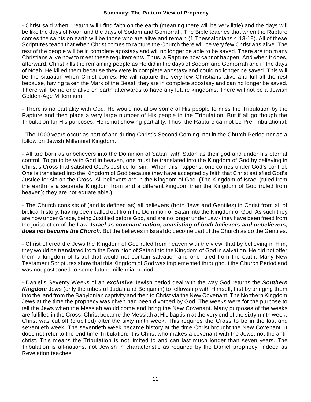- Christ said when I return will I find faith on the earth (meaning there will be very little) and the days will be like the days of Noah and the days of Sodom and Gomorrah. The Bible teaches that when the Rapture comes the saints on earth will be those who are alive and remain (1 Thessalonians 4:13-18). All of these Scriptures teach that when Christ comes to rapture the Church there will be very few Christians alive. The rest of the people will be in complete apostasy and will no longer be able to be saved. There are too many Christians alive now to meet these requirements. Thus, a Rapture now cannot happen. And when it does, afterward, Christ kills the remaining people as He did in the days of Sodom and Gomorrah and in the days of Noah. He killed them because they were in complete apostasy and could no longer be saved. This will be the situation when Christ comes. He will rapture the very few Christians alive and kill all the rest because, having taken the Mark of the Beast, they are in complete apostasy and can no longer be saved. There will be no one alive on earth afterwards to have any future kingdoms. There will not be a Jewish Golden-Age Millennium.

- There is no partiality with God. He would not allow some of His people to miss the Tribulation by the Rapture and then place a very large number of His people in the Tribulation. But if all go though the Tribulation for His purposes, He is not showing partiality. Thus, the Rapture cannot be Pre-Tribulational.

- The 1000 years occur as part of and during Christ's Second Coming, not in the Church Period nor as a follow on Jewish Millennial Kingdom.

- All are born as unbelievers into the Dominion of Satan, with Satan as their god and under his eternal control. To go to be with God in heaven, one must be translated into the Kingdom of God by believing in Christ's Cross that satisfied God's Justice for sin. When this happens, one comes under God's control. One is translated into the Kingdom of God because they have accepted by faith that Christ satisfied God's Justice for sin on the Cross. All believers are in the Kingdom of God. (The Kingdom of Israel (ruled from the earth) is a separate Kingdom from and a different kingdom than the Kingdom of God (ruled from heaven); they are not equate able.)

- The Church consists of (and is defined as) all believers (both Jews and Gentiles) in Christ from all of biblical history, having been called out from the Dominion of Satan into the Kingdom of God. As such they are now under Grace, being Justified before God, and are no longer under Law - they have been freed from the jurisdiction of the Law. *Israel as covenant nation, consisting of both believers and unbelievers, does not become the Church.* But the believes in Israel do become part of the Church as do the Gentiles.

- Christ offered the Jews the Kingdom of God ruled from heaven with the view, that by believing in Him, they would be translated from the Dominion of Satan into the Kingdom of God in salvation. He did not offer them a kingdom of Israel that would not contain salvation and one ruled from the earth. Many New Testament Scriptures show that this Kingdom of God was implemented throughout the Church Period and was not postponed to some future millennial period.

- Daniel's Seventy Weeks of an *exclusive* Jewish period deal with the way God returns the *Southern Kingdom* Jews (only the tribes of Judah and Benjamin) to fellowship with Himself, first by bringing them into the land from the Babylonian captivity and then to Christ via the New Covenant. The Northern Kingdom Jews at the time the prophecy was given had been divorced by God. The weeks were for the purpose to tell the Jews when the Messiah would come and bring the New Covenant. Many purposes of the weeks are fulfilled in the Cross. Christ became the Messiah at His baptism at the very end of the sixty-ninth week. Christ was cut off (crucified) after the sixty ninth week. This requires the Cross to be in the last and seventieth week. The seventieth week became history at the time Christ brought the New Covenant. It does not refer to the end time Tribulation. It is Christ who makes a covenant with the Jews, not the antichrist. This means the Tribulation is not limited to and can last much longer than seven years. The Tribulation is all-nations, not Jewish in characteristic as required by the Daniel prophecy, indeed as Revelation teaches.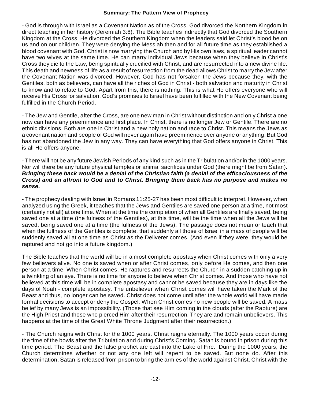- God is through with Israel as a Covenant Nation as of the Cross. God divorced the Northern Kingdom in direct teaching in her history (Jeremiah 3:8). The Bible teaches indirectly that God divorced the Southern Kingdom at the Cross. He divorced the Southern Kingdom when the leaders said let Christ's blood be on us and on our children. They were denying the Messiah then and for all future time as they established a blood covenant with God. Christ is now marrying the Church and by His own laws, a spiritual leader cannot have two wives at the same time. He can marry individual Jews because when they believe in Christ's Cross they die to the Law, being spiritually crucified with Christ, and are resurrected into a new divine life. This death and newness of life as a result of resurrection from the dead allows Christ to marry the Jew after the Covenant Nation was divorced. However, God has not forsaken the Jews because they, with the Gentiles, both as believers, can have all the riches of God in Christ - both salvation and maturity in Christ to know and to relate to God. Apart from this, there is nothing. This is what He offers everyone who will receive His Cross for salvation. God's promises to Israel have been fulfilled with the New Covenant being fulfilled in the Church Period.

- The Jew and Gentile, after the Cross, are one new man in Christ without distinction and only Christ alone now can have any preeminence and first place. In Christ, there is no longer Jew or Gentile. There are no ethnic divisions. Both are one in Christ and a new holy nation and race to Christ. This means the Jews as a covenant nation and people of God will never again have preeminence over anyone or anything. But God has not abandoned the Jew in any way. They can have everything that God offers anyone in Christ. This is all He offers anyone.

- There will not be any future Jewish Periods of any kind such as in the Tribulation and/or in the 1000 years. Nor will there be any future physical temples or animal sacrifices under God (there might be from Satan). *Bringing these back would be a denial of the Christian faith (a denial of the efficaciousness of the Cross) and an affront to God and to Christ. Bringing them back has no purpose and makes no sense.*

- The prophecy dealing with Israel in Romans 11:25-27 has been most difficult to interpret. However, when analyzed using the Greek, it teaches that the Jews and Gentiles are saved one person at a time, not most (certainly not all) at one time. When at the time the completion of when all Gentiles are finally saved, being saved one at a time (the fulness of the Gentiles), at this time, will be the time when all the Jews will be saved, being saved one at a time (the fullness of the Jews). The passage does not mean or teach that when the fullness of the Gentiles is complete, that suddenly all those of Israel in a mass of people will be suddenly saved all at one time as Christ as the Deliverer comes. (And even if they were, they would be raptured and not go into a future kingdom.)

The Bible teaches that the world will be in almost complete apostasy when Christ comes with only a very few believers alive. No one is saved when or after Christ comes, only before He comes, and then one person at a time. When Christ comes, He raptures and resurrects the Church in a sudden catching up in a twinkling of an eye. There is no time for anyone to believe when Christ comes. And those who have not believed at this time will be in complete apostasy and cannot be saved because they are in days like the days of Noah - complete apostasy. The unbeliever when Christ comes will have taken the Mark of the Beast and thus, no longer can be saved. Christ does not come until after the whole world will have made formal decisions to accept or deny the Gospel. When Christ comes no new people will be saved. A mass belief by many Jews is an impossibility. (Those that see Him coming in the clouds (after the Rapture) are the High Priest and those who pierced Him after their resurrection. They are and remain unbelievers. This happens at the time of the Great White Throne Judgment after their resurrection.)

- The Church reigns with Christ for the 1000 years. Christ reigns eternally. The 1000 years occur during the time of the bowls after the Tribulation and during Christ's Coming. Satan is bound in prison during this time period. The Beast and the false prophet are cast into the Lake of Fire. During the 1000 years, the Church determines whether or not any one left will repent to be saved. But none do. After this determination, Satan is released from prison to bring the armies of the world against Christ. Christ with the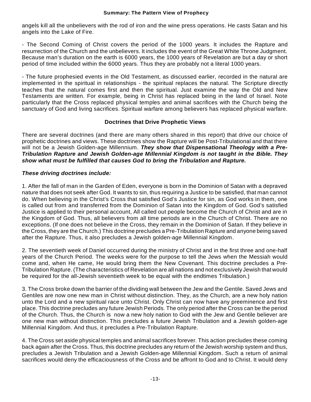angels kill all the unbelievers with the rod of iron and the wine press operations. He casts Satan and his angels into the Lake of Fire.

- The Second Coming of Christ covers the period of the 1000 years. It includes the Rapture and resurrection of the Church and the unbelievers. It includes the event of the Great White Throne Judgment. Because man's duration on the earth is 6000 years, the 1000 years of Revelation are but a day or short period of time included within the 6000 years. Thus they are probably not a literal 1000 years.

- The future prophesied events in the Old Testament, as discussed earlier, recorded in the natural are implemented in the spiritual in relationships - the spiritual replaces the natural. The Scripture directly teaches that the natural comes first and then the spiritual. Just examine the way the Old and New Testaments are written. For example, being in Christ has replaced being in the land of Israel. Note particularly that the Cross replaced physical temples and animal sacrifices with the Church being the sanctuary of God and living sacrifices. Spiritual warfare among believers has replaced physical warfare.

#### **Doctrines that Drive Prophetic Views**

There are several doctrines (and there are many others shared in this report) that drive our choice of prophetic doctrines and views. These doctrines show the Rapture will be Post-Tribulational and that there will not be a Jewish Golden-age Millennium. *They show that Dispensational Theology with a Pre-Tribulation Rapture and Jewish Golden-age Millennial Kingdom is not taught in the Bible. They show what must be fulfilled that causes God to bring the Tribulation and Rapture.*

#### *These driving doctrines include:*

1. After the fall of man in the Garden of Eden, everyone is born in the Dominion of Satan with a depraved nature that does not seek after God. It wants to sin, thus requiring a Justice to be satisfied, that man cannot do. When believing in the Christ's Cross that satisfied God's Justice for sin, as God works in them, one is called out from and transferred from the Dominion of Satan into the Kingdom of God. God's satisfied Justice is applied to their personal account, All called out people become the Church of Christ and are in the Kingdom of God. Thus, all believers from all time periods are in the Church of Christ. There are no exceptions. (If one does not believe in the Cross, they remain in the Dominion of Satan. If they believe in the Cross, they are the Church.) This doctrine precludes a Pre-Tribulation Rapture and anyone being saved after the Rapture. Thus, it also precludes a Jewish golden-age Millennial Kingdom.

2. The seventieth week of Daniel occurred during the ministry of Christ and in the first three and one-half years of the Church Period. The weeks were for the purpose to tell the Jews when the Messiah would come and, when He came, He would bring them the New Covenant. This doctrine precludes a Pre-Tribulation Rapture. (The characteristics of Revelation are all nations and not exclusively Jewish that would be required for the all-Jewish seventieth week to be equal with the endtimes Tribulation.)

3. The Cross broke down the barrier of the dividing wall between the Jew and the Gentile. Saved Jews and Gentiles are now one new man in Christ without distinction. They, as the Church, are a new holy nation unto the Lord and a new spiritual race unto Christ. Only Christ can now have any preeminence and first place. This doctrine precludes any future Jewish Periods. The only period after the Cross can be the period of the Church. Thus, the Church is now a new holy nation to God with the Jew and Gentile believer are one new man without distinction. This precludes a future Jewish Tribulation and a Jewish golden-age Millennial Kingdom. And thus, it precludes a Pre-Tribulation Rapture.

4. The Cross set aside physical temples and animal sacrifices forever. This action precludes these coming back again after the Cross. Thus, this doctrine precludes any return of the Jewish worship system and thus, precludes a Jewish Tribulation and a Jewish Golden-age Millennial Kingdom. Such a return of animal sacrifices would deny the efficaciousness of the Cross and be affront to God and to Christ. It would deny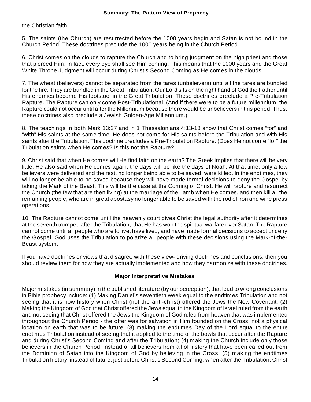the Christian faith.

5. The saints (the Church) are resurrected before the 1000 years begin and Satan is not bound in the Church Period. These doctrines preclude the 1000 years being in the Church Period.

6. Christ comes on the clouds to rapture the Church and to bring judgment on the high priest and those that pierced Him. In fact, every eye shall see Him coming. This means that the 1000 years and the Great White Throne Judgment will occur during Christ's Second Coming as He comes in the clouds.

7. The wheat (believers) cannot be separated from the tares (unbelievers) until all the tares are bundled for the fire. They are bundled in the Great Tribulation. Our Lord sits on the right hand of God the Father until His enemies become His footstool in the Great Tribulation. These doctrines preclude a Pre-Tribulation Rapture. The Rapture can only come Post-Tribulational. (And if there were to be a future millennium, the Rapture could not occur until after the Millennium because there would be unbelievers in this period. Thus, these doctrines also preclude a Jewish Golden-Age Millennium.)

8. The teachings in both Mark 13:27 and in 1 Thessalonians 4:13-18 show that Christ comes "for" and "with" His saints at the same time. He does not come for His saints before the Tribulation and with His saints after the Tribulation. This doctrine precludes a Pre-Tribulation Rapture. (Does He not come "for" the Tribulation saints when He comes? Is this not the Rapture?

9. Christ said that when He comes will He find faith on the earth? The Greek implies that there will be very little. He also said when He comes again, the days will be like the days of Noah. At that time, only a few believers were delivered and the rest, no longer being able to be saved, were killed. In the endtimes, they will no longer be able to be saved because they will have made formal decisions to deny the Gospel by taking the Mark of the Beast. This will be the case at the Coming of Christ. He will rapture and resurrect the Church (the few that are then living) at the marriage of the Lamb when He comes, and then kill all the remaining people, who are in great apostasy no longer able to be saved with the rod of iron and wine press operations.

10. The Rapture cannot come until the heavenly court gives Christ the legal authority after it determines at the seventh trumpet, after the Tribulation, that He has won the spiritual warfare over Satan. The Rapture cannot come until all people who are to live, have lived, and have made formal decisions to accept or deny the Gospel. God uses the Tribulation to polarize all people with these decisions using the Mark-of-the-Beast system.

If you have doctrines or views that disagree with these view- driving doctrines and conclusions, then you should review them for how they are actually implemented and how they harmonize with these doctrines.

#### **Major Interpretative Mistakes**

Major mistakes (in summary) in the published literature (by our perception), that lead to wrong conclusions in Bible prophecy include: (1) Making Daniel's seventieth week equal to the endtimes Tribulation and not seeing that it is now history when Christ (not the anti-christ) offered the Jews the New Covenant; (2) Making the Kingdom of God that Christ offered the Jews equal to the Kingdom of Israel ruled from the earth and not seeing that Christ offered the Jews the Kingdom of God ruled from heaven that was implemented throughout the Church Period - the offer was for salvation in Him founded on the Cross, not a physical location on earth that was to be future; (3) making the endtimes Day of the Lord equal to the entire endtimes Tribulation instead of seeing that it applied to the time of the bowls that occur after the Rapture and during Christ's Second Coming and after the Tribulation; (4) making the Church include only those believers in the Church Period, instead of all believers from all of history that have been called out from the Dominion of Satan into the Kingdom of God by believing in the Cross; (5) making the endtimes Tribulation history, instead of future, just before Christ's Second Coming, when after the Tribulation, Christ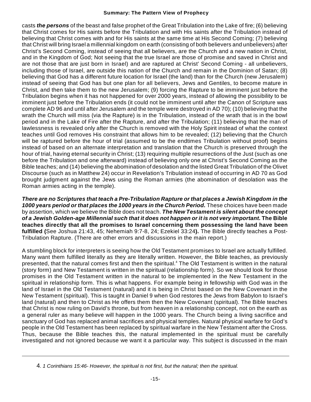casts *the persons* of the beast and false prophet of the Great Tribulation into the Lake of fire; (6) believing that Christ comes for His saints before the Tribulation and with His saints after the Tribulation instead of believing that Christ comes with and for His saints at the same time at His Second Coming; (7) believing that Christ will bring Israel a millennial kingdom on earth (consisting of both believers and unbelievers) after Christ's Second Coming, instead of seeing that all believers, are the Church and a new nation in Christ, and in the Kingdom of God; Not seeing that the true Israel are those of promise and saved in Christ and are not those that are just born in Israel) and are raptured at Christ' Second Coming - all unbelievers, including those of Israel, are outside this nation of the Church and remain in the Dominion of Satan; (8) believing that God has a different future location for Israel (the land) than for the Church (new Jerusalem) instead of seeing that God has but one plan for all believers, Jews and Gentiles, to become mature in Christ, and then take them to the new Jerusalem; (9) forcing the Rapture to be imminent just before the Tribulation begins when it has not happened for over 2000 years, instead of allowing the possibility to be imminent just before the Tribulation ends (it could not be imminent until after the Canon of Scripture was complete AD 96 and until after Jerusalem and the temple were destroyed in AD 70); (10) believing that the wrath the Church will miss (via the Rapture) is in the Tribulation, instead of the wrath that is in the bowl period and in the Lake of Fire after the Rapture, and after the Tribulation; (11) believing that the man of lawlessness is revealed only after the Church is removed with the Holy Spirit instead of what the context teaches until God removes His constraint that allows him to be revealed; (12) believing that the Church will be raptured before the hour of trial (assumed to be the endtimes Tribulation without proof) begins instead of based on an alternate interpretation and translation that the Church is preserved through the hour of trial, having eternal security in Christ; (13) requiring multiple resurrections of the Just (such as one before the Tribulation and one afterward) instead of believing only one at Christ's Second Coming as the Bible teaches; and (14) believing the abomination of desolation and the listed Great Tribulation of the Olivet Discourse (such as in Matthew 24) occur in Revelation's Tribulation instead of occurring in AD 70 as God brought judgment against the Jews using the Roman armies (the abomination of desolation was the Roman armies acting in the temple).

*There are no Scriptures that teach a Pre-Tribulation Rapture or that places a Jewish Kingdom in the 1000 years period or that places the 1000 years in the Church Period.* These choices have been made by assertion, which we believe the Bible does not teach. *The New Testament is silent about the concept of a Jewish Golden-age Millennial such that it does not happen or it is not very important.* **The Bible teaches directly that all the promises to Israel concerning them possessing the land have been fulfilled (**See Joshua 21:43, 45; Nehemiah 9:7-8, 24; Ezekiel 33:24**).** The Bible directly teaches a Post-Tribulation Rapture. (There are other errors and discussions in the main report.)

A stumbling block for interpreters is seeing how the Old Testament promises to Israel are actually fulfilled. Many want them fulfilled literally as they are literally written. However, the Bible teaches, as previously presented, that the natural comes first and then the spiritual.<sup>4</sup> The Old Testament is written in the natural (story form) and New Testament is written in the spiritual (relationship form). So we should look for those promises in the Old Testament written in the natural to be implemented in the New Testament in the spiritual in relationship form. This is what happens. For example being in fellowship with God was in the land of Israel in the Old Testament (natural) and it is being in Christ based on the New Covenant in the New Testament (spiritual). This is taught in Daniel 9 when God restores the Jews from Babylon to Israel's land (natural) and then to Christ as He offers them then the New Covenant (spiritual). The Bible teaches that Christ is now ruling on David's throne, but from heaven in a relationship concept, not on the earth as a general ruler as many believe will happen in the 1000 years. The Church being a living sacrifice and sanctuary of God has replaced animal sacrifices and physical temples. Natural physical warfare for God's people in the Old Testament has been replaced by spiritual warfare in the New Testament after the Cross. Thus, because the Bible teaches this, the natural implemented in the spiritual must be carefully investigated and not ignored because we want it a particular way. This subject is discussed in the main

<sup>4</sup>. *1 Corinthians 15:46- However, the spiritual is not first, but the natural; then the spiritual.*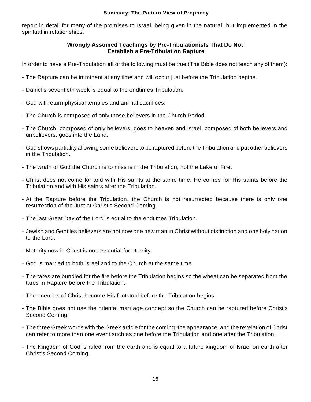report in detail for many of the promises to Israel, being given in the natural, but implemented in the spiritual in relationships.

#### **Wrongly Assumed Teachings by Pre-Tribulationists That Do Not Establish a Pre-Tribulation Rapture**

In order to have a Pre-Tribulation **all** of the following must be true (The Bible does not teach any of them):

- The Rapture can be imminent at any time and will occur just before the Tribulation begins.
- Daniel's seventieth week is equal to the endtimes Tribulation.
- God will return physical temples and animal sacrifices.
- The Church is composed of only those believers in the Church Period.
- The Church, composed of only believers, goes to heaven and Israel, composed of both believers and unbelievers, goes into the Land.
- God shows partiality allowing some believers to be raptured before the Tribulation and put other believers in the Tribulation.
- The wrath of God the Church is to miss is in the Tribulation, not the Lake of Fire.
- Christ does not come for and with His saints at the same time. He comes for His saints before the Tribulation and with His saints after the Tribulation.
- At the Rapture before the Tribulation, the Church is not resurrected because there is only one resurrection of the Just at Christ's Second Coming.
- The last Great Day of the Lord is equal to the endtimes Tribulation.
- Jewish and Gentiles believers are not now one new man in Christ without distinction and one holy nation to the Lord.
- Maturity now in Christ is not essential for eternity.
- God is married to both Israel and to the Church at the same time.
- The tares are bundled for the fire before the Tribulation begins so the wheat can be separated from the tares in Rapture before the Tribulation.
- The enemies of Christ become His footstool before the Tribulation begins.
- The Bible does not use the oriental marriage concept so the Church can be raptured before Christ's Second Coming.
- The three Greek words with the Greek article for the coming, the appearance. and the revelation of Christ can refer to more than one event such as one before the Tribulation and one after the Tribulation.
- The Kingdom of God is ruled from the earth and is equal to a future kingdom of Israel on earth after Christ's Second Coming.